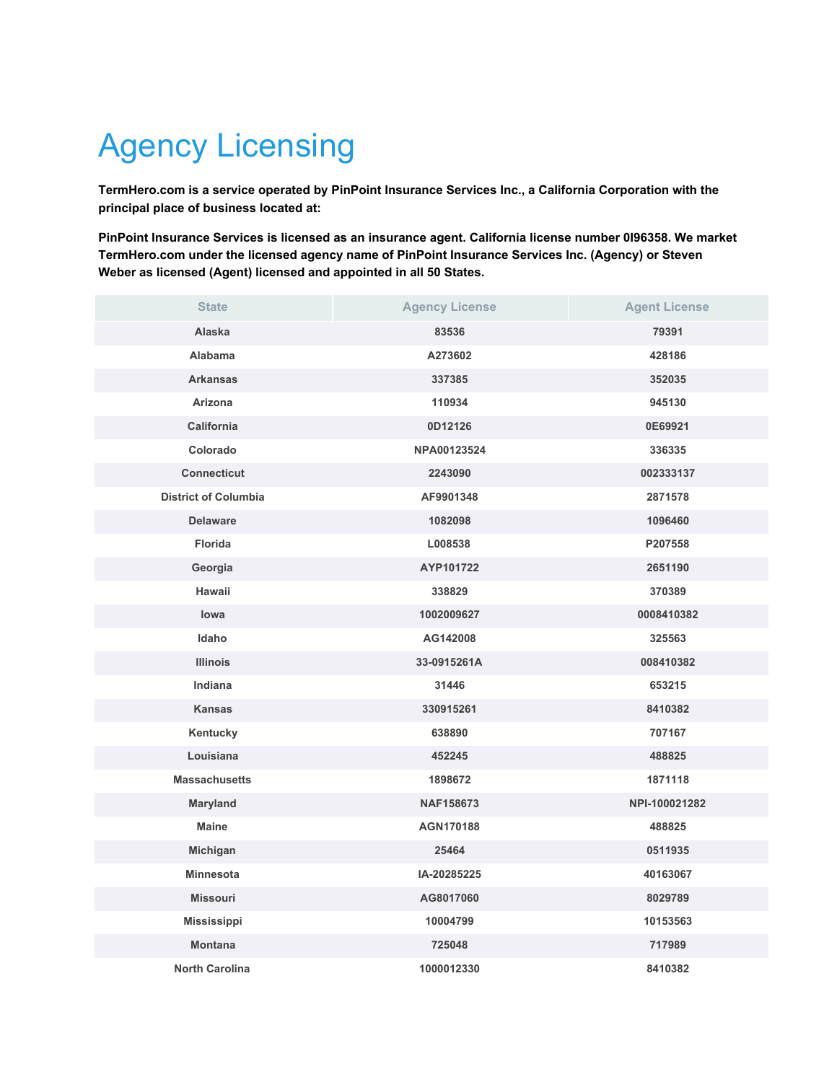## Agency Licensing

**TermHero.com is a service operated by PinPoint Insurance Services Inc., a California Corporation with the principal place of business located at:**

**PinPoint Insurance Services is licensed as an insurance agent. California license number 0I96358. We market TermHero.com under the licensed agency name of PinPoint Insurance Services Inc. (Agency) or Steven Weber as licensed (Agent) licensed and appointed in all 50 States.**

| <b>State</b>                | <b>Agency License</b> | <b>Agent License</b> |
|-----------------------------|-----------------------|----------------------|
| Alaska                      | 83536                 | 79391                |
| Alabama                     | A273602               | 428186               |
| <b>Arkansas</b>             | 337385                | 352035               |
| Arizona                     | 110934                | 945130               |
| California                  | 0D12126               | 0E69921              |
| Colorado                    | NPA00123524           | 336335               |
| <b>Connecticut</b>          | 2243090               | 002333137            |
| <b>District of Columbia</b> | AF9901348             | 2871578              |
| <b>Delaware</b>             | 1082098               | 1096460              |
| <b>Florida</b>              | L008538               | P207558              |
| Georgia                     | AYP101722             | 2651190              |
| Hawaii                      | 338829                | 370389               |
| lowa                        | 1002009627            | 0008410382           |
| Idaho                       | AG142008              | 325563               |
| <b>Illinois</b>             | 33-0915261A           | 008410382            |
| <b>Indiana</b>              | 31446                 | 653215               |
| <b>Kansas</b>               | 330915261             | 8410382              |
| Kentucky                    | 638890                | 707167               |
| Louisiana                   | 452245                | 488825               |
| <b>Massachusetts</b>        | 1898672               | 1871118              |
| Maryland                    | NAF158673             | NPI-100021282        |
| <b>Maine</b>                | AGN170188             | 488825               |
| Michigan                    | 25464                 | 0511935              |
| <b>Minnesota</b>            | IA-20285225           | 40163067             |
| <b>Missouri</b>             | AG8017060             | 8029789              |
| Mississippi                 | 10004799              | 10153563             |
| <b>Montana</b>              | 725048                | 717989               |
| <b>North Carolina</b>       | 1000012330            | 8410382              |